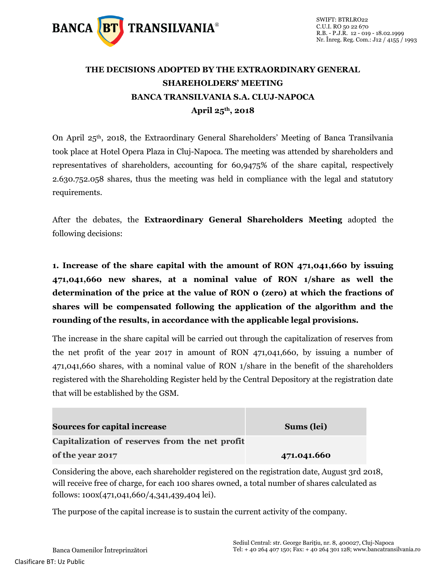

# **THE DECISIONS ADOPTED BY THE EXTRAORDINARY GENERAL SHAREHOLDERS' MEETING BANCA TRANSILVANIA S.A. CLUJ-NAPOCA April 25th, 2018**

On April 25th, 2018, the Extraordinary General Shareholders' Meeting of Banca Transilvania took place at Hotel Opera Plaza in Cluj-Napoca. The meeting was attended by shareholders and representatives of shareholders, accounting for 60,9475% of the share capital, respectively 2.630.752.058 shares, thus the meeting was held in compliance with the legal and statutory requirements.

After the debates, the **Extraordinary General Shareholders Meeting** adopted the following decisions:

**1. Increase of the share capital with the amount of RON 471,041,660 by issuing 471,041,660 new shares, at a nominal value of RON 1/share as well the determination of the price at the value of RON 0 (zero) at which the fractions of shares will be compensated following the application of the algorithm and the rounding of the results, in accordance with the applicable legal provisions.** 

The increase in the share capital will be carried out through the capitalization of reserves from the net profit of the year 2017 in amount of RON 471,041,660, by issuing a number of 471,041,660 shares, with a nominal value of RON 1/share in the benefit of the shareholders registered with the Shareholding Register held by the Central Depository at the registration date that will be established by the GSM.

| <b>Sources for capital increase</b>                                                                                                                                                                                               | Sums (lei)  |
|-----------------------------------------------------------------------------------------------------------------------------------------------------------------------------------------------------------------------------------|-------------|
| Capitalization of reserves from the net profit                                                                                                                                                                                    |             |
| of the year 2017                                                                                                                                                                                                                  | 471.041.660 |
| $\alpha$ . It is a set of the set of the set of the set of the set of the set of the set of the set of the set of the set of the set of the set of the set of the set of the set of the set of the set of the set of the set of t |             |

Considering the above, each shareholder registered on the registration date, August 3rd 2018, will receive free of charge, for each 100 shares owned, a total number of shares calculated as follows: 100x(471,041,660/4,341,439,404 lei).

The purpose of the capital increase is to sustain the current activity of the company.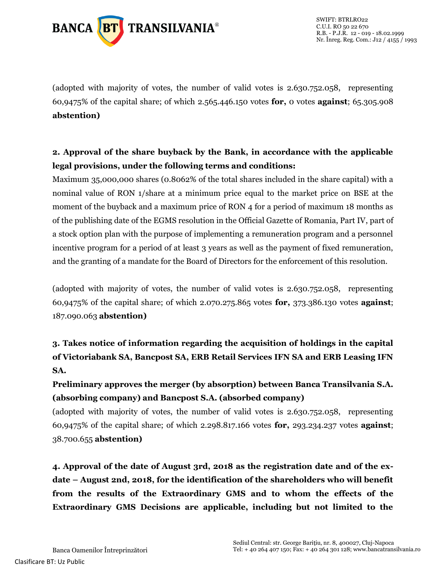

(adopted with majority of votes, the number of valid votes is 2.630.752.058, representing 60,9475% of the capital share; of which 2.565.446.150 votes **for,** 0 votes **against**; 65.305.908 **abstention)**

## **2. Approval of the share buyback by the Bank, in accordance with the applicable legal provisions, under the following terms and conditions:**

Maximum 35,000,000 shares (0.8062% of the total shares included in the share capital) with a nominal value of RON 1/share at a minimum price equal to the market price on BSE at the moment of the buyback and a maximum price of RON 4 for a period of maximum 18 months as of the publishing date of the EGMS resolution in the Official Gazette of Romania, Part IV, part of a stock option plan with the purpose of implementing a remuneration program and a personnel incentive program for a period of at least 3 years as well as the payment of fixed remuneration, and the granting of a mandate for the Board of Directors for the enforcement of this resolution.

(adopted with majority of votes, the number of valid votes is 2.630.752.058, representing 60,9475% of the capital share; of which 2.070.275.865 votes **for,** 373.386.130 votes **against**; 187.090.063 **abstention)**

**3. Takes notice of information regarding the acquisition of holdings in the capital of Victoriabank SA, Bancpost SA, ERB Retail Services IFN SA and ERB Leasing IFN SA.**

**Preliminary approves the merger (by absorption) between Banca Transilvania S.A. (absorbing company) and Bancpost S.A. (absorbed company)**

(adopted with majority of votes, the number of valid votes is 2.630.752.058, representing 60,9475% of the capital share; of which 2.298.817.166 votes **for,** 293.234.237 votes **against**; 38.700.655 **abstention)**

**4. Approval of the date of August 3rd, 2018 as the registration date and of the exdate – August 2nd, 2018, for the identification of the shareholders who will benefit from the results of the Extraordinary GMS and to whom the effects of the Extraordinary GMS Decisions are applicable, including but not limited to the**